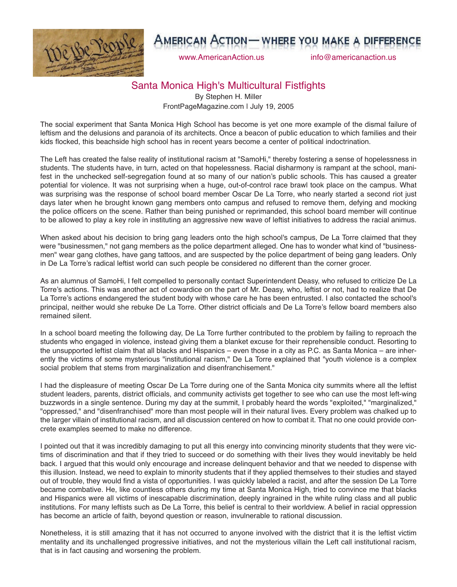

## AMERICAN ACTION— WHERE YOU MAKE A DIFFER

www.AmericanAction.us info@americanaction.us

## Santa Monica High's Multicultural Fistfights

By Stephen H. Miller FrontPageMagazine.com | July 19, 2005

The social experiment that Santa Monica High School has become is yet one more example of the dismal failure of leftism and the delusions and paranoia of its architects. Once a beacon of public education to which families and their kids flocked, this beachside high school has in recent years become a center of political indoctrination.

The Left has created the false reality of institutional racism at "SamoHi," thereby fostering a sense of hopelessness in students. The students have, in turn, acted on that hopelessness. Racial disharmony is rampant at the school, manifest in the unchecked self-segregation found at so many of our nation's public schools. This has caused a greater potential for violence. It was not surprising when a huge, out-of-control race brawl took place on the campus. What was surprising was the response of school board member Oscar De La Torre, who nearly started a second riot just days later when he brought known gang members onto campus and refused to remove them, defying and mocking the police officers on the scene. Rather than being punished or reprimanded, this school board member will continue to be allowed to play a key role in instituting an aggressive new wave of leftist initiatives to address the racial animus.

When asked about his decision to bring gang leaders onto the high school's campus, De La Torre claimed that they were "businessmen," not gang members as the police department alleged. One has to wonder what kind of "businessmen" wear gang clothes, have gang tattoos, and are suspected by the police department of being gang leaders. Only in De La Torre's radical leftist world can such people be considered no different than the corner grocer.

As an alumnus of SamoHi, I felt compelled to personally contact Superintendent Deasy, who refused to criticize De La Torre's actions. This was another act of cowardice on the part of Mr. Deasy, who, leftist or not, had to realize that De La Torre's actions endangered the student body with whose care he has been entrusted. I also contacted the school's principal, neither would she rebuke De La Torre. Other district officials and De La Torre's fellow board members also remained silent.

In a school board meeting the following day, De La Torre further contributed to the problem by failing to reproach the students who engaged in violence, instead giving them a blanket excuse for their reprehensible conduct. Resorting to the unsupported leftist claim that all blacks and Hispanics – even those in a city as P.C. as Santa Monica – are inherently the victims of some mysterious "institutional racism," De La Torre explained that "youth violence is a complex social problem that stems from marginalization and disenfranchisement."

I had the displeasure of meeting Oscar De La Torre during one of the Santa Monica city summits where all the leftist student leaders, parents, district officials, and community activists get together to see who can use the most left-wing buzzwords in a single sentence. During my day at the summit, I probably heard the words "exploited," "marginalized," "oppressed," and "disenfranchised" more than most people will in their natural lives. Every problem was chalked up to the larger villain of institutional racism, and all discussion centered on how to combat it. That no one could provide concrete examples seemed to make no difference.

I pointed out that it was incredibly damaging to put all this energy into convincing minority students that they were victims of discrimination and that if they tried to succeed or do something with their lives they would inevitably be held back. I argued that this would only encourage and increase delinquent behavior and that we needed to dispense with this illusion. Instead, we need to explain to minority students that if they applied themselves to their studies and stayed out of trouble, they would find a vista of opportunities. I was quickly labeled a racist, and after the session De La Torre became combative. He, like countless others during my time at Santa Monica High, tried to convince me that blacks and Hispanics were all victims of inescapable discrimination, deeply ingrained in the white ruling class and all public institutions. For many leftists such as De La Torre, this belief is central to their worldview. A belief in racial oppression has become an article of faith, beyond question or reason, invulnerable to rational discussion.

Nonetheless, it is still amazing that it has not occurred to anyone involved with the district that it is the leftist victim mentality and its unchallenged progressive initiatives, and not the mysterious villain the Left call institutional racism, that is in fact causing and worsening the problem.